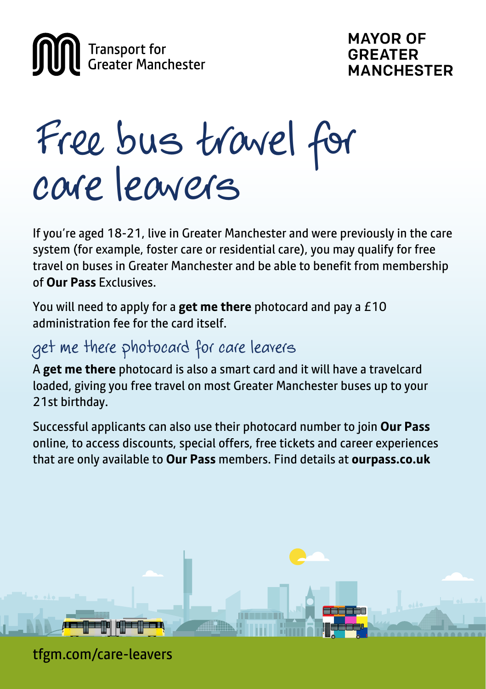

# Free bus travel for care leavers

If you're aged 18-21, live in Greater Manchester and were previously in the care system (for example, foster care or residential care), you may qualify for free travel on buses in Greater Manchester and be able to benefit from membership of **Our Pass** Exclusives.

You will need to apply for a **get me there** photocard and pay a £10 administration fee for the card itself.

## get me there photocard for care leavers

A **get me there** photocard is also a smart card and it will have a travelcard loaded, giving you free travel on most Greater Manchester buses up to your 21st birthday.

Successful applicants can also use their photocard number to join **Our Pass** online, to access discounts, special offers, free tickets and career experiences that are only available to **Our Pass** members. Find details at **ourpass.co.uk**



tfgm.com/care-leavers